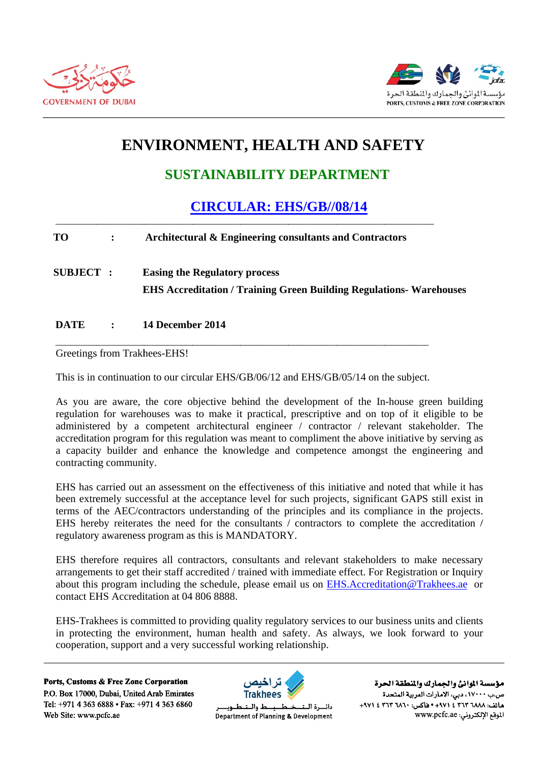



# **ENVIRONMENT, HEALTH AND SAFETY**

## **SUSTAINABILITY DEPARTMENT**

### **CIRCULAR: EHS/GB//08/14**

#### **TO**  $\ddot{\cdot}$ Architectural & Engineering consultants and Contractors

**SUBJECT: Easing the Regulatory process EHS Accreditation / Training Green Building Regulations- Warehouses** 

#### **DATE** 14 December 2014  $\cdot$

Greetings from Trakhees-EHS!

This is in continuation to our circular EHS/GB/06/12 and EHS/GB/05/14 on the subject.

As you are aware, the core objective behind the development of the In-house green building regulation for warehouses was to make it practical, prescriptive and on top of it eligible to be administered by a competent architectural engineer / contractor / relevant stakeholder. The accreditation program for this regulation was meant to compliment the above initiative by serving as a capacity builder and enhance the knowledge and competence amongst the engineering and contracting community.

EHS has carried out an assessment on the effectiveness of this initiative and noted that while it has been extremely successful at the acceptance level for such projects, significant GAPS still exist in terms of the AEC/contractors understanding of the principles and its compliance in the projects. EHS hereby reiterates the need for the consultants / contractors to complete the accreditation / regulatory awareness program as this is MANDATORY.

EHS therefore requires all contractors, consultants and relevant stakeholders to make necessary arrangements to get their staff accredited / trained with immediate effect. For Registration or Inquiry about this program including the schedule, please email us on EHS.Accreditation@Trakhees.ae or contact EHS Accreditation at 04 806 8888.

EHS-Trakhees is committed to providing quality regulatory services to our business units and clients in protecting the environment, human health and safety. As always, we look forward to your cooperation, support and a very successful working relationship.

Ports, Customs & Free Zone Corporation P.O. Box 17000, Dubai, United Arab Emirates Tel: +971 4 363 6888 • Fax: +971 4 363 6860 Web Site: www.pcfc.ae



ط والــنـ دائسرة البتد Department of Planning & Development

مؤسسة الموانئ والجمارك والنطقة الحرة ص.ب ١٧٠٠٠، دبي، الأمارات العربية المتحدة ماتف: ٢٦٨٨ ٣٦٣ ٢ ٤ ٢٩٧١ - ١٩٥٥ ماكس: ٣٦٢ ٣ ٢٦٢ ٤ ٢٩٧١ الموقع الإلكتروني: www.pcfc.ae